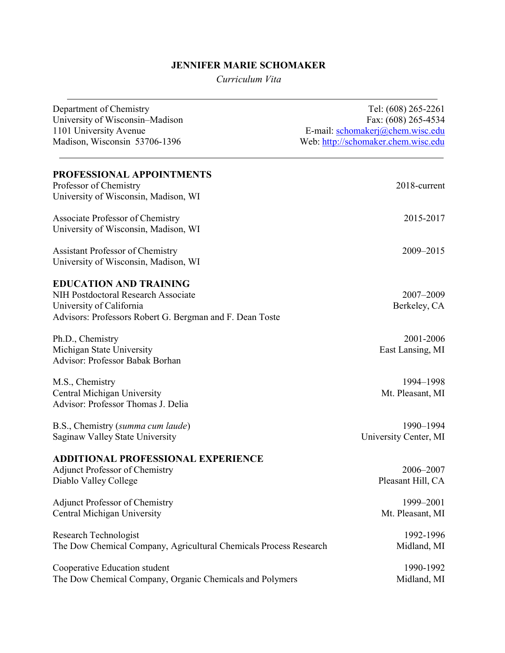# JENNIFER MARIE SCHOMAKER

Curriculum Vita

| Department of Chemistry<br>University of Wisconsin-Madison<br>1101 University Avenue<br>Madison, Wisconsin 53706-1396                                        | Tel: (608) 265-2261<br>Fax: (608) 265-4534<br>E-mail: schomakerj@chem.wisc.edu<br>Web: http://schomaker.chem.wisc.edu |
|--------------------------------------------------------------------------------------------------------------------------------------------------------------|-----------------------------------------------------------------------------------------------------------------------|
| PROFESSIONAL APPOINTMENTS<br>Professor of Chemistry                                                                                                          | 2018-current                                                                                                          |
| University of Wisconsin, Madison, WI                                                                                                                         |                                                                                                                       |
| Associate Professor of Chemistry<br>University of Wisconsin, Madison, WI                                                                                     | 2015-2017                                                                                                             |
| <b>Assistant Professor of Chemistry</b><br>University of Wisconsin, Madison, WI                                                                              | 2009-2015                                                                                                             |
| <b>EDUCATION AND TRAINING</b><br>NIH Postdoctoral Research Associate<br>University of California<br>Advisors: Professors Robert G. Bergman and F. Dean Toste | 2007-2009<br>Berkeley, CA                                                                                             |
| Ph.D., Chemistry<br>Michigan State University<br>Advisor: Professor Babak Borhan                                                                             | 2001-2006<br>East Lansing, MI                                                                                         |
| M.S., Chemistry<br>Central Michigan University<br>Advisor: Professor Thomas J. Delia                                                                         | 1994-1998<br>Mt. Pleasant, MI                                                                                         |
| B.S., Chemistry (summa cum laude)<br>Saginaw Valley State University                                                                                         | 1990-1994<br>University Center, MI                                                                                    |
| <b>ADDITIONAL PROFESSIONAL EXPERIENCE</b><br><b>Adjunct Professor of Chemistry</b><br>Diablo Valley College                                                  | 2006–2007<br>Pleasant Hill, CA                                                                                        |
| Adjunct Professor of Chemistry<br>Central Michigan University                                                                                                | 1999-2001<br>Mt. Pleasant, MI                                                                                         |
| Research Technologist<br>The Dow Chemical Company, Agricultural Chemicals Process Research                                                                   | 1992-1996<br>Midland, MI                                                                                              |
| Cooperative Education student<br>The Dow Chemical Company, Organic Chemicals and Polymers                                                                    | 1990-1992<br>Midland, MI                                                                                              |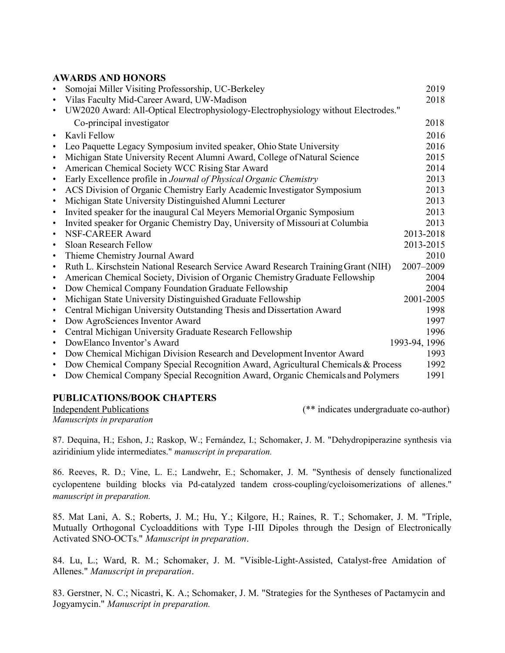## AWARDS AND HONORS

|           | Somojai Miller Visiting Professorship, UC-Berkeley                                 | 2019          |
|-----------|------------------------------------------------------------------------------------|---------------|
| $\bullet$ | Vilas Faculty Mid-Career Award, UW-Madison                                         | 2018          |
| $\bullet$ | UW2020 Award: All-Optical Electrophysiology-Electrophysiology without Electrodes." |               |
|           | Co-principal investigator                                                          | 2018          |
| $\bullet$ | Kavli Fellow                                                                       | 2016          |
| $\bullet$ | Leo Paquette Legacy Symposium invited speaker, Ohio State University               | 2016          |
| $\bullet$ | Michigan State University Recent Alumni Award, College of Natural Science          | 2015          |
| $\bullet$ | American Chemical Society WCC Rising Star Award                                    | 2014          |
| $\bullet$ | Early Excellence profile in Journal of Physical Organic Chemistry                  | 2013          |
| $\bullet$ | ACS Division of Organic Chemistry Early Academic Investigator Symposium            | 2013          |
| $\bullet$ | Michigan State University Distinguished Alumni Lecturer                            | 2013          |
| $\bullet$ | Invited speaker for the inaugural Cal Meyers Memorial Organic Symposium            | 2013          |
| $\bullet$ | Invited speaker for Organic Chemistry Day, University of Missouri at Columbia      | 2013          |
| $\bullet$ | NSF-CAREER Award                                                                   | 2013-2018     |
| $\bullet$ | Sloan Research Fellow                                                              | 2013-2015     |
| $\bullet$ | Thieme Chemistry Journal Award                                                     | 2010          |
| $\bullet$ | Ruth L. Kirschstein National Research Service Award Research Training Grant (NIH)  | 2007-2009     |
| $\bullet$ | American Chemical Society, Division of Organic Chemistry Graduate Fellowship       | 2004          |
| $\bullet$ | Dow Chemical Company Foundation Graduate Fellowship                                | 2004          |
| $\bullet$ | Michigan State University Distinguished Graduate Fellowship                        | 2001-2005     |
| $\bullet$ | Central Michigan University Outstanding Thesis and Dissertation Award              | 1998          |
| $\bullet$ | Dow AgroSciences Inventor Award                                                    | 1997          |
| $\bullet$ | Central Michigan University Graduate Research Fellowship                           | 1996          |
| $\bullet$ | DowElanco Inventor's Award                                                         | 1993-94, 1996 |
| $\bullet$ | Dow Chemical Michigan Division Research and Development Inventor Award             | 1993          |
| $\bullet$ | Dow Chemical Company Special Recognition Award, Agricultural Chemicals & Process   | 1992          |
| $\bullet$ | Dow Chemical Company Special Recognition Award, Organic Chemicals and Polymers     | 1991          |

### PUBLICATIONS/BOOK CHAPTERS

Independent Publications (\*\* indicates undergraduate co-author)

Manuscripts in preparation

87. Dequina, H.; Eshon, J.; Raskop, W.; Fernández, I.; Schomaker, J. M. "Dehydropiperazine synthesis via aziridinium ylide intermediates." manuscript in preparation.

86. Reeves, R. D.; Vine, L. E.; Landwehr, E.; Schomaker, J. M. "Synthesis of densely functionalized cyclopentene building blocks via Pd-catalyzed tandem cross-coupling/cycloisomerizations of allenes." manuscript in preparation.

85. Mat Lani, A. S.; Roberts, J. M.; Hu, Y.; Kilgore, H.; Raines, R. T.; Schomaker, J. M. "Triple, Mutually Orthogonal Cycloadditions with Type I-III Dipoles through the Design of Electronically Activated SNO-OCTs." Manuscript in preparation.

84. Lu, L.; Ward, R. M.; Schomaker, J. M. "Visible-Light-Assisted, Catalyst-free Amidation of Allenes." Manuscript in preparation.

83. Gerstner, N. C.; Nicastri, K. A.; Schomaker, J. M. "Strategies for the Syntheses of Pactamycin and Jogyamycin." Manuscript in preparation.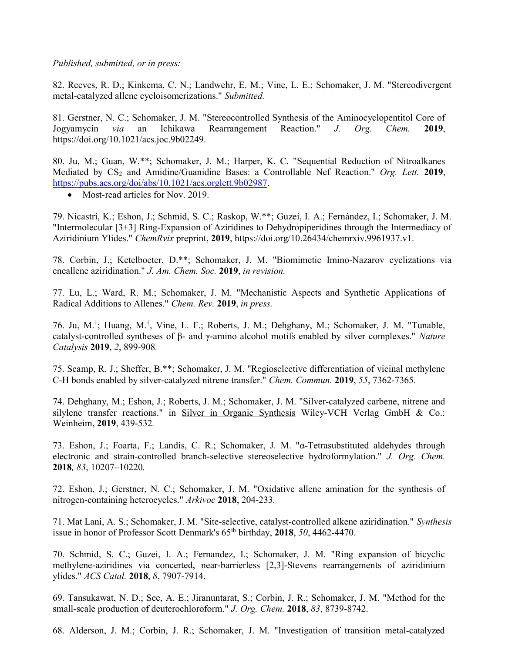Published, submitted, or in press:

82. Reeves, R. D.; Kinkema, C. N.; Landwehr, E. M.; Vine, L. E.; Schomaker, J. M. "Stereodivergent metal-catalyzed allene cycloisomerizations." Submitted.

81. Gerstner, N. C.; Schomaker, J. M. "Stereocontrolled Synthesis of the Aminocyclopentitol Core of Jogyamycin via an Ichikawa Rearrangement Reaction." J. Org. Chem. 2019, https://doi.org/10.1021/acs.joc.9b02249.

80. Ju, M.; Guan, W.\*\*; Schomaker, J. M.; Harper, K. C. "Sequential Reduction of Nitroalkanes Mediated by  $CS_2$  and Amidine/Guanidine Bases: a Controllable Nef Reaction." Org. Lett. 2019, https://pubs.acs.org/doi/abs/10.1021/acs.orglett.9b02987.

• Most-read articles for Nov. 2019.

79. Nicastri, K.; Eshon, J.; Schmid, S. C.; Raskop, W.\*\*; Guzei, I. A.; Fernández, I.; Schomaker, J. M. "Intermolecular [3+3] Ring-Expansion of Aziridines to Dehydropiperidines through the Intermediacy of Aziridinium Ylides." ChemRvix preprint, 2019, https://doi.org/10.26434/chemrxiv.9961937.v1.

78. Corbin, J.; Ketelboeter, D.\*\*; Schomaker, J. M. "Biomimetic Imino-Nazarov cyclizations via eneallene aziridination." J. Am. Chem. Soc. 2019, in revision.

77. Lu, L.; Ward, R. M.; Schomaker, J. M. "Mechanistic Aspects and Synthetic Applications of Radical Additions to Allenes." Chem. Rev. 2019, in press.

76. Ju, M.† ; Huang, M.† , Vine, L. F.; Roberts, J. M.; Dehghany, M.; Schomaker, J. M. "Tunable, catalyst-controlled syntheses of β- and γ-amino alcohol motifs enabled by silver complexes." Nature Catalysis 2019, 2, 899-908.

75. Scamp, R. J.; Sheffer, B.\*\*; Schomaker, J. M. "Regioselective differentiation of vicinal methylene C-H bonds enabled by silver-catalyzed nitrene transfer." Chem. Commun. 2019, 55, 7362-7365.

74. Dehghany, M.; Eshon, J.; Roberts, J. M.; Schomaker, J. M. "Silver-catalyzed carbene, nitrene and silylene transfer reactions." in Silver in Organic Synthesis Wiley-VCH Verlag GmbH & Co.: Weinheim, 2019, 439-532.

73. Eshon, J.; Foarta, F.; Landis, C. R.; Schomaker, J. M. "α-Tetrasubstituted aldehydes through electronic and strain-controlled branch-selective stereoselective hydroformylation." J. Org. Chem. 2018, 83, 10207–10220.

72. Eshon, J.; Gerstner, N. C.; Schomaker, J. M. "Oxidative allene amination for the synthesis of nitrogen-containing heterocycles." Arkivoc 2018, 204-233.

71. Mat Lani, A. S.; Schomaker, J. M. "Site-selective, catalyst-controlled alkene aziridination." Synthesis issue in honor of Professor Scott Denmark's  $65<sup>th</sup>$  birthday, 2018, 50, 4462-4470.

70. Schmid, S. C.; Guzei, I. A.; Fernandez, I.; Schomaker, J. M. "Ring expansion of bicyclic methylene-aziridines via concerted, near-barrierless [2,3]-Stevens rearrangements of aziridinium ylides." ACS Catal. 2018, 8, 7907-7914.

69. Tansukawat, N. D.; See, A. E.; Jiranuntarat, S.; Corbin, J. R.; Schomaker, J. M. "Method for the small-scale production of deuterochloroform." J. Org. Chem. 2018, 83, 8739-8742.

68. Alderson, J. M.; Corbin, J. R.; Schomaker, J. M. "Investigation of transition metal-catalyzed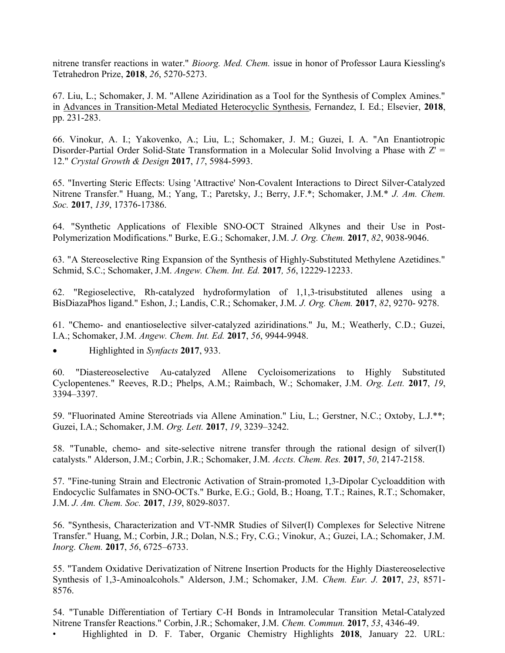nitrene transfer reactions in water." Bioorg. Med. Chem. issue in honor of Professor Laura Kiessling's Tetrahedron Prize, 2018, 26, 5270-5273.

67. Liu, L.; Schomaker, J. M. "Allene Aziridination as a Tool for the Synthesis of Complex Amines." in Advances in Transition-Metal Mediated Heterocyclic Synthesis, Fernandez, I. Ed.; Elsevier, 2018, pp. 231-283.

66. Vinokur, A. I.; Yakovenko, A.; Liu, L.; Schomaker, J. M.; Guzei, I. A. "An Enantiotropic Disorder-Partial Order Solid-State Transformation in a Molecular Solid Involving a Phase with  $Z' =$ 12." Crystal Growth & Design 2017, 17, 5984-5993.

65. "Inverting Steric Effects: Using 'Attractive' Non-Covalent Interactions to Direct Silver-Catalyzed Nitrene Transfer." Huang, M.; Yang, T.; Paretsky, J.; Berry, J.F.\*; Schomaker, J.M.\* J. Am. Chem. Soc. 2017, 139, 17376-17386.

64. "Synthetic Applications of Flexible SNO-OCT Strained Alkynes and their Use in Post-Polymerization Modifications." Burke, E.G.; Schomaker, J.M. J. Org. Chem. 2017, 82, 9038-9046.

63. "A Stereoselective Ring Expansion of the Synthesis of Highly-Substituted Methylene Azetidines." Schmid, S.C.; Schomaker, J.M. Angew. Chem. Int. Ed. 2017, 56, 12229-12233.

62. "Regioselective, Rh-catalyzed hydroformylation of 1,1,3-trisubstituted allenes using a BisDiazaPhos ligand." Eshon, J.; Landis, C.R.; Schomaker, J.M. J. Org. Chem. 2017, 82, 9270- 9278.

61. "Chemo- and enantioselective silver-catalyzed aziridinations." Ju, M.; Weatherly, C.D.; Guzei, I.A.; Schomaker, J.M. Angew. Chem. Int. Ed. 2017, 56, 9944-9948.

Highlighted in Synfacts 2017, 933.

60. "Diastereoselective Au-catalyzed Allene Cycloisomerizations to Highly Substituted Cyclopentenes." Reeves, R.D.; Phelps, A.M.; Raimbach, W.; Schomaker, J.M. Org. Lett. 2017, 19, 3394–3397.

59. "Fluorinated Amine Stereotriads via Allene Amination." Liu, L.; Gerstner, N.C.; Oxtoby, L.J.\*\*; Guzei, I.A.; Schomaker, J.M. Org. Lett. 2017, 19, 3239–3242.

58. "Tunable, chemo- and site-selective nitrene transfer through the rational design of silver(I) catalysts." Alderson, J.M.; Corbin, J.R.; Schomaker, J.M. Accts. Chem. Res. 2017, 50, 2147-2158.

57. "Fine-tuning Strain and Electronic Activation of Strain-promoted 1,3-Dipolar Cycloaddition with Endocyclic Sulfamates in SNO-OCTs." Burke, E.G.; Gold, B.; Hoang, T.T.; Raines, R.T.; Schomaker, J.M. J. Am. Chem. Soc. 2017, 139, 8029-8037.

56. "Synthesis, Characterization and VT-NMR Studies of Silver(I) Complexes for Selective Nitrene Transfer." Huang, M.; Corbin, J.R.; Dolan, N.S.; Fry, C.G.; Vinokur, A.; Guzei, I.A.; Schomaker, J.M. Inorg. Chem. 2017, 56, 6725–6733.

55. "Tandem Oxidative Derivatization of Nitrene Insertion Products for the Highly Diastereoselective Synthesis of 1,3-Aminoalcohols." Alderson, J.M.; Schomaker, J.M. Chem. Eur. J. 2017, 23, 8571- 8576.

54. "Tunable Differentiation of Tertiary C-H Bonds in Intramolecular Transition Metal-Catalyzed Nitrene Transfer Reactions." Corbin, J.R.; Schomaker, J.M. Chem. Commun. 2017, 53, 4346-49. • Highlighted in D. F. Taber, Organic Chemistry Highlights 2018, January 22. URL: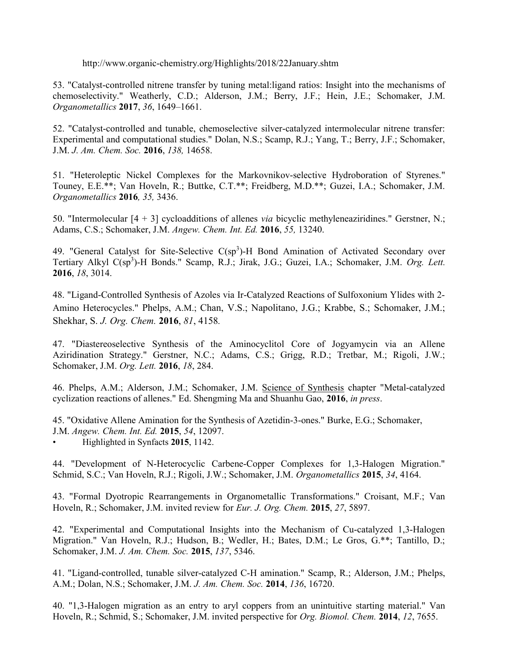http://www.organic-chemistry.org/Highlights/2018/22January.shtm

53. "Catalyst-controlled nitrene transfer by tuning metal:ligand ratios: Insight into the mechanisms of chemoselectivity." Weatherly, C.D.; Alderson, J.M.; Berry, J.F.; Hein, J.E.; Schomaker, J.M. Organometallics 2017, 36, 1649–1661.

52. "Catalyst-controlled and tunable, chemoselective silver-catalyzed intermolecular nitrene transfer: Experimental and computational studies." Dolan, N.S.; Scamp, R.J.; Yang, T.; Berry, J.F.; Schomaker, J.M. J. Am. Chem. Soc. 2016, 138, 14658.

51. "Heteroleptic Nickel Complexes for the Markovnikov-selective Hydroboration of Styrenes." Touney, E.E.\*\*; Van Hoveln, R.; Buttke, C.T.\*\*; Freidberg, M.D.\*\*; Guzei, I.A.; Schomaker, J.M. Organometallics 2016, 35, 3436.

50. "Intermolecular [4 + 3] cycloadditions of allenes via bicyclic methyleneaziridines." Gerstner, N.; Adams, C.S.; Schomaker, J.M. Angew. Chem. Int. Ed. 2016, 55, 13240.

49. "General Catalyst for Site-Selective  $C(sp^3)$ -H Bond Amination of Activated Secondary over Tertiary Alkyl C(sp<sup>3</sup>)-H Bonds." Scamp, R.J.; Jirak, J.G.; Guzei, I.A.; Schomaker, J.M. Org. Lett. 2016, 18, 3014.

48. "Ligand-Controlled Synthesis of Azoles via Ir-Catalyzed Reactions of Sulfoxonium Ylides with 2- Amino Heterocycles." Phelps, A.M.; Chan, V.S.; Napolitano, J.G.; Krabbe, S.; Schomaker, J.M.; Shekhar, S. J. Org. Chem. 2016, 81, 4158.

47. "Diastereoselective Synthesis of the Aminocyclitol Core of Jogyamycin via an Allene Aziridination Strategy." Gerstner, N.C.; Adams, C.S.; Grigg, R.D.; Tretbar, M.; Rigoli, J.W.; Schomaker, J.M. Org. Lett. 2016, 18, 284.

46. Phelps, A.M.; Alderson, J.M.; Schomaker, J.M. Science of Synthesis chapter "Metal-catalyzed cyclization reactions of allenes." Ed. Shengming Ma and Shuanhu Gao, 2016, in press.

45. "Oxidative Allene Amination for the Synthesis of Azetidin-3-ones." Burke, E.G.; Schomaker, J.M. Angew. Chem. Int. Ed. 2015, 54, 12097.

• Highlighted in Synfacts 2015, 1142.

44. "Development of N-Heterocyclic Carbene-Copper Complexes for 1,3-Halogen Migration." Schmid, S.C.; Van Hoveln, R.J.; Rigoli, J.W.; Schomaker, J.M. Organometallics 2015, 34, 4164.

43. "Formal Dyotropic Rearrangements in Organometallic Transformations." Croisant, M.F.; Van Hoveln, R.; Schomaker, J.M. invited review for Eur. J. Org. Chem. 2015, 27, 5897.

42. "Experimental and Computational Insights into the Mechanism of Cu-catalyzed 1,3-Halogen Migration." Van Hoveln, R.J.; Hudson, B.; Wedler, H.; Bates, D.M.; Le Gros, G.\*\*; Tantillo, D.; Schomaker, J.M. J. Am. Chem. Soc. 2015, 137, 5346.

41. "Ligand-controlled, tunable silver-catalyzed C-H amination." Scamp, R.; Alderson, J.M.; Phelps, A.M.; Dolan, N.S.; Schomaker, J.M. J. Am. Chem. Soc. 2014, 136, 16720.

40. "1,3-Halogen migration as an entry to aryl coppers from an unintuitive starting material." Van Hoveln, R.; Schmid, S.; Schomaker, J.M. invited perspective for Org. Biomol. Chem. 2014, 12, 7655.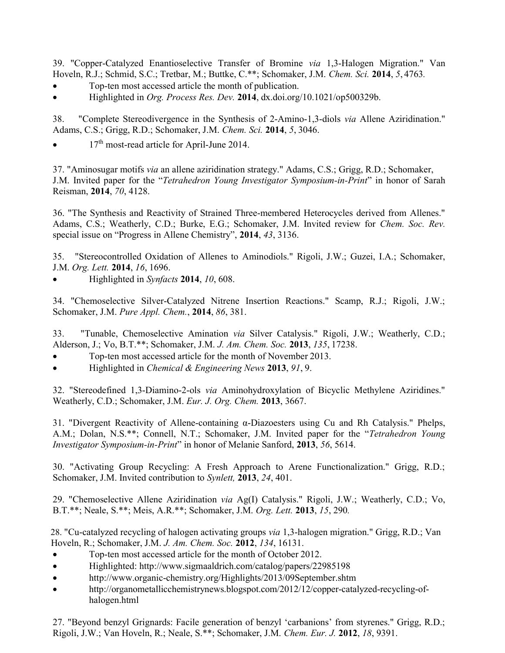39. "Copper-Catalyzed Enantioselective Transfer of Bromine via 1,3-Halogen Migration." Van Hoveln, R.J.; Schmid, S.C.; Tretbar, M.; Buttke, C.\*\*; Schomaker, J.M. Chem. Sci. 2014, 5, 4763.

- Top-ten most accessed article the month of publication.
- $\bullet$  Highlighted in Org. Process Res. Dev. 2014, dx.doi.org/10.1021/op500329b.

38. "Complete Stereodivergence in the Synthesis of 2-Amino-1,3-diols via Allene Aziridination." Adams, C.S.; Grigg, R.D.; Schomaker, J.M. Chem. Sci. 2014, 5, 3046.

 $\bullet$  17<sup>th</sup> most-read article for April-June 2014.

37. "Aminosugar motifs via an allene aziridination strategy." Adams, C.S.; Grigg, R.D.; Schomaker, J.M. Invited paper for the "Tetrahedron Young Investigator Symposium-in-Print" in honor of Sarah Reisman, 2014, 70, 4128.

36. "The Synthesis and Reactivity of Strained Three-membered Heterocycles derived from Allenes." Adams, C.S.; Weatherly, C.D.; Burke, E.G.; Schomaker, J.M. Invited review for *Chem. Soc. Rev.* special issue on "Progress in Allene Chemistry", 2014, 43, 3136.

35. "Stereocontrolled Oxidation of Allenes to Aminodiols." Rigoli, J.W.; Guzei, I.A.; Schomaker, J.M. Org. Lett. 2014, 16, 1696.

Highlighted in Synfacts 2014, 10, 608.

34. "Chemoselective Silver-Catalyzed Nitrene Insertion Reactions." Scamp, R.J.; Rigoli, J.W.; Schomaker, J.M. Pure Appl. Chem., 2014, 86, 381.

33. "Tunable, Chemoselective Amination via Silver Catalysis." Rigoli, J.W.; Weatherly, C.D.; Alderson, J.; Vo, B.T.\*\*; Schomaker, J.M. J. Am. Chem. Soc. 2013, 135, 17238.

- Top-ten most accessed article for the month of November 2013.
- Highlighted in Chemical & Engineering News 2013, 91, 9.

32. "Stereodefined 1,3-Diamino-2-ols via Aminohydroxylation of Bicyclic Methylene Aziridines." Weatherly, C.D.; Schomaker, J.M. Eur. J. Org. Chem. 2013, 3667.

31. "Divergent Reactivity of Allene-containing α-Diazoesters using Cu and Rh Catalysis." Phelps, A.M.; Dolan, N.S.\*\*; Connell, N.T.; Schomaker, J.M. Invited paper for the "Tetrahedron Young Investigator Symposium-in-Print" in honor of Melanie Sanford, 2013, 56, 5614.

30. "Activating Group Recycling: A Fresh Approach to Arene Functionalization." Grigg, R.D.; Schomaker, J.M. Invited contribution to Synlett, 2013, 24, 401.

29. "Chemoselective Allene Aziridination via Ag(I) Catalysis." Rigoli, J.W.; Weatherly, C.D.; Vo, B.T.\*\*; Neale, S.\*\*; Meis, A.R.\*\*; Schomaker, J.M. Org. Lett. 2013, 15, 290.

 28. "Cu-catalyzed recycling of halogen activating groups via 1,3-halogen migration." Grigg, R.D.; Van Hoveln, R.; Schomaker, J.M. J. Am. Chem. Soc. 2012, 134, 16131.

- Top-ten most accessed article for the month of October 2012.
- Highlighted: http://www.sigmaaldrich.com/catalog/papers/22985198
- http://www.organic-chemistry.org/Highlights/2013/09September.shtm
- http://organometallicchemistrynews.blogspot.com/2012/12/copper-catalyzed-recycling-of halogen.html

27. "Beyond benzyl Grignards: Facile generation of benzyl 'carbanions' from styrenes." Grigg, R.D.; Rigoli, J.W.; Van Hoveln, R.; Neale, S.\*\*; Schomaker, J.M. Chem. Eur. J. 2012, 18, 9391.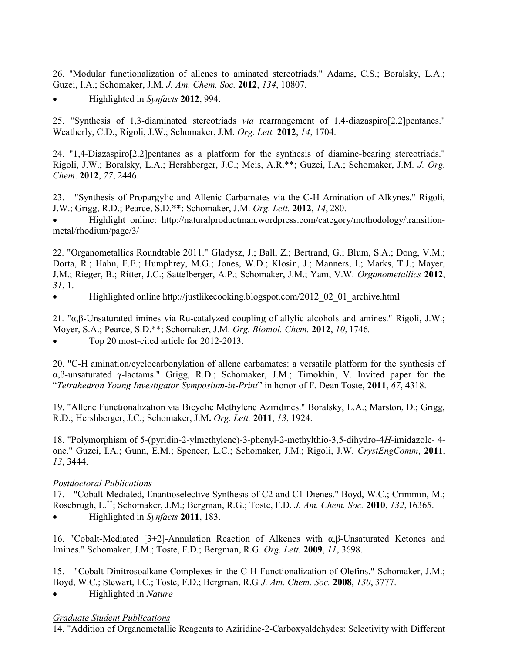26. "Modular functionalization of allenes to aminated stereotriads." Adams, C.S.; Boralsky, L.A.; Guzei, I.A.; Schomaker, J.M. J. Am. Chem. Soc. 2012, 134, 10807.

Highlighted in Synfacts 2012, 994.

25. "Synthesis of 1,3-diaminated stereotriads via rearrangement of 1,4-diazaspiro[2.2]pentanes." Weatherly, C.D.; Rigoli, J.W.; Schomaker, J.M. Org. Lett. 2012, 14, 1704.

24. "1,4-Diazaspiro[2.2]pentanes as a platform for the synthesis of diamine-bearing stereotriads." Rigoli, J.W.; Boralsky, L.A.; Hershberger, J.C.; Meis, A.R.\*\*; Guzei, I.A.; Schomaker, J.M. J. Org. Chem. 2012, 77, 2446.

23. "Synthesis of Propargylic and Allenic Carbamates via the C-H Amination of Alkynes." Rigoli, J.W.; Grigg, R.D.; Pearce, S.D.\*\*; Schomaker, J.M. Org. Lett. 2012, 14, 280.

 Highlight online: http://naturalproductman.wordpress.com/category/methodology/transitionmetal/rhodium/page/3/

22. "Organometallics Roundtable 2011." Gladysz, J.; Ball, Z.; Bertrand, G.; Blum, S.A.; Dong, V.M.; Dorta, R.; Hahn, F.E.; Humphrey, M.G.; Jones, W.D.; Klosin, J.; Manners, I.; Marks, T.J.; Mayer, J.M.; Rieger, B.; Ritter, J.C.; Sattelberger, A.P.; Schomaker, J.M.; Yam, V.W. Organometallics 2012, 31, 1.

• Highlighted online http://justlikecooking.blogspot.com/2012\_02\_01\_archive.html

21. "α,β-Unsaturated imines via Ru-catalyzed coupling of allylic alcohols and amines." Rigoli, J.W.; Moyer, S.A.; Pearce, S.D.\*\*; Schomaker, J.M. Org. Biomol. Chem. 2012, 10, 1746. Top 20 most-cited article for 2012-2013.

20. "C-H amination/cyclocarbonylation of allene carbamates: a versatile platform for the synthesis of α,β-unsaturated γ-lactams." Grigg, R.D.; Schomaker, J.M.; Timokhin, V. Invited paper for the "Tetrahedron Young Investigator Symposium-in-Print" in honor of F. Dean Toste, 2011, 67, 4318.

19. "Allene Functionalization via Bicyclic Methylene Aziridines." Boralsky, L.A.; Marston, D.; Grigg, R.D.; Hershberger, J.C.; Schomaker, J.M. Org. Lett. 2011, 13, 1924.

18. "Polymorphism of 5-(pyridin-2-ylmethylene)-3-phenyl-2-methylthio-3,5-dihydro-4H-imidazole- 4 one." Guzei, I.A.; Gunn, E.M.; Spencer, L.C.; Schomaker, J.M.; Rigoli, J.W. CrystEngComm, 2011, 13, 3444.

## Postdoctoral Publications

17. "Cobalt-Mediated, Enantioselective Synthesis of C2 and C1 Dienes." Boyd, W.C.; Crimmin, M.; Rosebrugh, L.\*\*; Schomaker, J.M.; Bergman, R.G.; Toste, F.D. J. Am. Chem. Soc. 2010, 132, 16365. Highlighted in Synfacts 2011, 183.

16. "Cobalt-Mediated [3+2]-Annulation Reaction of Alkenes with α,β-Unsaturated Ketones and Imines." Schomaker, J.M.; Toste, F.D.; Bergman, R.G. Org. Lett. 2009, 11, 3698.

15. "Cobalt Dinitrosoalkane Complexes in the C-H Functionalization of Olefins." Schomaker, J.M.; Boyd, W.C.; Stewart, I.C.; Toste, F.D.; Bergman, R.G J. Am. Chem. Soc. 2008, 130, 3777.

• Highlighted in Nature

### Graduate Student Publications

14. "Addition of Organometallic Reagents to Aziridine-2-Carboxyaldehydes: Selectivity with Different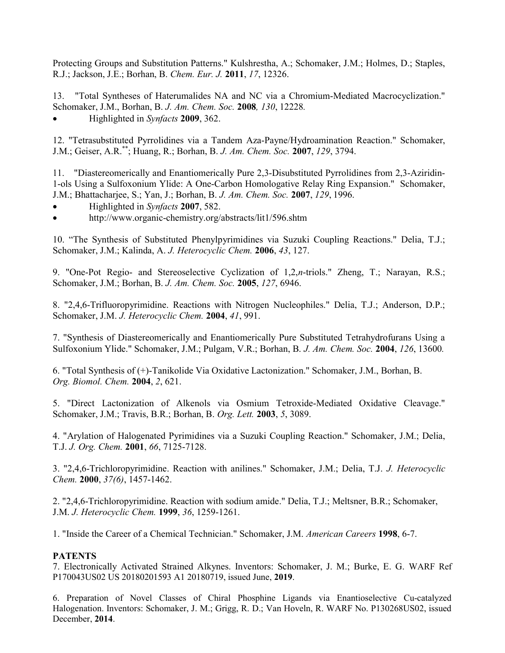Protecting Groups and Substitution Patterns." Kulshrestha, A.; Schomaker, J.M.; Holmes, D.; Staples, R.J.; Jackson, J.E.; Borhan, B. Chem. Eur. J. 2011, 17, 12326.

13. "Total Syntheses of Haterumalides NA and NC via a Chromium-Mediated Macrocyclization." Schomaker, J.M., Borhan, B. J. Am. Chem. Soc. 2008, 130, 12228.

Highlighted in Synfacts 2009, 362.

12. "Tetrasubstituted Pyrrolidines via a Tandem Aza-Payne/Hydroamination Reaction." Schomaker, J.M.; Geiser, A.R.\*\*; Huang, R.; Borhan, B. J. Am. Chem. Soc. 2007, 129, 3794.

11. "Diastereomerically and Enantiomerically Pure 2,3-Disubstituted Pyrrolidines from 2,3-Aziridin-1-ols Using a Sulfoxonium Ylide: A One-Carbon Homologative Relay Ring Expansion." Schomaker, J.M.; Bhattacharjee, S.; Yan, J.; Borhan, B. J. Am. Chem. Soc. 2007, 129, 1996.

- Highlighted in Synfacts 2007, 582.
- http://www.organic-chemistry.org/abstracts/lit1/596.shtm

10. "The Synthesis of Substituted Phenylpyrimidines via Suzuki Coupling Reactions." Delia, T.J.; Schomaker, J.M.; Kalinda, A. J. Heterocyclic Chem. 2006, 43, 127.

9. "One-Pot Regio- and Stereoselective Cyclization of 1,2,n-triols." Zheng, T.; Narayan, R.S.; Schomaker, J.M.; Borhan, B. J. Am. Chem. Soc. 2005, 127, 6946.

8. "2,4,6-Trifluoropyrimidine. Reactions with Nitrogen Nucleophiles." Delia, T.J.; Anderson, D.P.; Schomaker, J.M. J. Heterocyclic Chem. 2004, 41, 991.

7. "Synthesis of Diastereomerically and Enantiomerically Pure Substituted Tetrahydrofurans Using a Sulfoxonium Ylide." Schomaker, J.M.; Pulgam, V.R.; Borhan, B. J. Am. Chem. Soc. 2004, 126, 13600.

6. "Total Synthesis of (+)-Tanikolide Via Oxidative Lactonization." Schomaker, J.M., Borhan, B. Org. Biomol. Chem. 2004, 2, 621.

5. "Direct Lactonization of Alkenols via Osmium Tetroxide-Mediated Oxidative Cleavage." Schomaker, J.M.; Travis, B.R.; Borhan, B. Org. Lett. 2003, 5, 3089.

4. "Arylation of Halogenated Pyrimidines via a Suzuki Coupling Reaction." Schomaker, J.M.; Delia, T.J. J. Org. Chem. 2001, 66, 7125-7128.

3. "2,4,6-Trichloropyrimidine. Reaction with anilines." Schomaker, J.M.; Delia, T.J. J. Heterocyclic Chem. 2000, 37(6), 1457-1462.

2. "2,4,6-Trichloropyrimidine. Reaction with sodium amide." Delia, T.J.; Meltsner, B.R.; Schomaker, J.M. J. Heterocyclic Chem. 1999, 36, 1259-1261.

1. "Inside the Career of a Chemical Technician." Schomaker, J.M. American Careers 1998, 6-7.

### **PATENTS**

7. Electronically Activated Strained Alkynes. Inventors: Schomaker, J. M.; Burke, E. G. WARF Ref P170043US02 US 20180201593 A1 20180719, issued June, 2019.

6. Preparation of Novel Classes of Chiral Phosphine Ligands via Enantioselective Cu-catalyzed Halogenation. Inventors: Schomaker, J. M.; Grigg, R. D.; Van Hoveln, R. WARF No. P130268US02, issued December, 2014.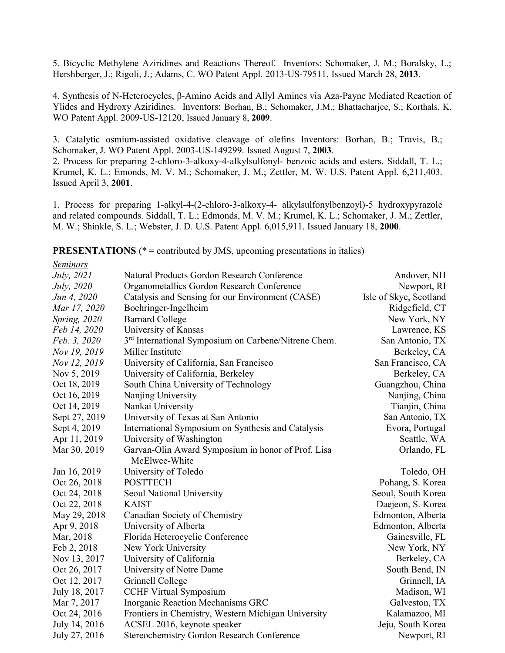5. Bicyclic Methylene Aziridines and Reactions Thereof. Inventors: Schomaker, J. M.; Boralsky, L.; Hershberger, J.; Rigoli, J.; Adams, C. WO Patent Appl. 2013-US-79511, Issued March 28, 2013.

4. Synthesis of N-Heterocycles, β-Amino Acids and Allyl Amines via Aza-Payne Mediated Reaction of Ylides and Hydroxy Aziridines. Inventors: Borhan, B.; Schomaker, J.M.; Bhattacharjee, S.; Korthals, K. WO Patent Appl. 2009-US-12120, Issued January 8, 2009.

3. Catalytic osmium-assisted oxidative cleavage of olefins Inventors: Borhan, B.; Travis, B.; Schomaker, J. WO Patent Appl. 2003-US-149299. Issued August 7, 2003.

2. Process for preparing 2-chloro-3-alkoxy-4-alkylsulfonyl- benzoic acids and esters. Siddall, T. L.; Krumel, K. L.; Emonds, M. V. M.; Schomaker, J. M.; Zettler, M. W. U.S. Patent Appl. 6,211,403. Issued April 3, 2001.

1. Process for preparing 1-alkyl-4-(2-chloro-3-alkoxy-4- alkylsulfonylbenzoyl)-5 hydroxypyrazole and related compounds. Siddall, T. L.; Edmonds, M. V. M.; Krumel, K. L.; Schomaker, J. M.; Zettler, M. W.; Shinkle, S. L.; Webster, J. D. U.S. Patent Appl. 6,015,911. Issued January 18, 2000.

**PRESENTATIONS** ( $* =$  contributed by JMS, upcoming presentations in italics)

| Seminars      |                                                                  |                        |
|---------------|------------------------------------------------------------------|------------------------|
| July, 2021    | Natural Products Gordon Research Conference                      | Andover, NH            |
| July, 2020    | Organometallics Gordon Research Conference                       | Newport, RI            |
| Jun 4, 2020   | Catalysis and Sensing for our Environment (CASE)                 | Isle of Skye, Scotland |
| Mar 17, 2020  | Boehringer-Ingelheim                                             | Ridgefield, CT         |
| Spring, 2020  | <b>Barnard College</b>                                           | New York, NY           |
| Feb 14, 2020  | University of Kansas                                             | Lawrence, KS           |
| Feb. 3, 2020  | 3 <sup>rd</sup> International Symposium on Carbene/Nitrene Chem. | San Antonio, TX        |
| Nov 19, 2019  | Miller Institute                                                 | Berkeley, CA           |
| Nov 12, 2019  | University of California, San Francisco                          | San Francisco, CA      |
| Nov 5, 2019   | University of California, Berkeley                               | Berkeley, CA           |
| Oct 18, 2019  | South China University of Technology                             | Guangzhou, China       |
| Oct 16, 2019  | Nanjing University                                               | Nanjing, China         |
| Oct 14, 2019  | Nankai University                                                | Tianjin, China         |
| Sept 27, 2019 | University of Texas at San Antonio                               | San Antonio, TX        |
| Sept 4, 2019  | International Symposium on Synthesis and Catalysis               | Evora, Portugal        |
| Apr 11, 2019  | University of Washington                                         | Seattle, WA            |
| Mar 30, 2019  | Garvan-Olin Award Symposium in honor of Prof. Lisa               | Orlando, FL            |
|               | McElwee-White                                                    |                        |
| Jan 16, 2019  | University of Toledo                                             | Toledo, OH             |
| Oct 26, 2018  | <b>POSTTECH</b>                                                  | Pohang, S. Korea       |
| Oct 24, 2018  | Seoul National University                                        | Seoul, South Korea     |
| Oct 22, 2018  | <b>KAIST</b>                                                     | Daejeon, S. Korea      |
| May 29, 2018  | Canadian Society of Chemistry                                    | Edmonton, Alberta      |
| Apr 9, 2018   | University of Alberta                                            | Edmonton, Alberta      |
| Mar, 2018     | Florida Heterocyclic Conference                                  | Gainesville, FL        |
| Feb 2, 2018   | New York University                                              | New York, NY           |
| Nov 13, 2017  | University of California                                         | Berkeley, CA           |
| Oct 26, 2017  | University of Notre Dame                                         | South Bend, IN         |
| Oct 12, 2017  | Grinnell College                                                 | Grinnell, IA           |
| July 18, 2017 | <b>CCHF Virtual Symposium</b>                                    | Madison, WI            |
| Mar 7, 2017   | Inorganic Reaction Mechanisms GRC                                | Galveston, TX          |
| Oct 24, 2016  | Frontiers in Chemistry, Western Michigan University              | Kalamazoo, MI          |
| July 14, 2016 | ACSEL 2016, keynote speaker                                      | Jeju, South Korea      |
| July 27, 2016 | <b>Stereochemistry Gordon Research Conference</b>                | Newport, RI            |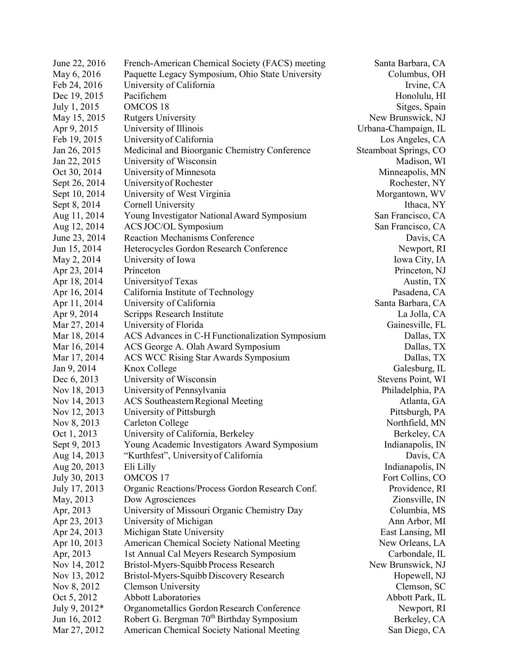| June 22, 2016 | French-American Chemical Society (FACS) meeting       | Santa Barbara, CA     |
|---------------|-------------------------------------------------------|-----------------------|
| May 6, 2016   | Paquette Legacy Symposium, Ohio State University      | Columbus, OH          |
| Feb 24, 2016  | University of California                              | Irvine, CA            |
| Dec 19, 2015  | Pacifichem                                            | Honolulu, HI          |
| July 1, 2015  | <b>OMCOS 18</b>                                       | Sitges, Spain         |
| May 15, 2015  | <b>Rutgers University</b>                             | New Brunswick, NJ     |
| Apr 9, 2015   | University of Illinois                                | Urbana-Champaign, IL  |
| Feb 19, 2015  | University of California                              | Los Angeles, CA       |
| Jan 26, 2015  | Medicinal and Bioorganic Chemistry Conference         | Steamboat Springs, CO |
| Jan 22, 2015  | University of Wisconsin                               | Madison, WI           |
| Oct 30, 2014  | University of Minnesota                               | Minneapolis, MN       |
| Sept 26, 2014 | University of Rochester                               | Rochester, NY         |
| Sept 10, 2014 | University of West Virginia                           | Morgantown, WV        |
| Sept 8, 2014  | Cornell University                                    | Ithaca, NY            |
| Aug 11, 2014  | Young Investigator National Award Symposium           | San Francisco, CA     |
| Aug 12, 2014  | ACS JOC/OL Symposium                                  | San Francisco, CA     |
| June 23, 2014 | <b>Reaction Mechanisms Conference</b>                 | Davis, CA             |
| Jun 15, 2014  | Heterocycles Gordon Research Conference               | Newport, RI           |
| May 2, 2014   | University of Iowa                                    | Iowa City, IA         |
| Apr 23, 2014  | Princeton                                             | Princeton, NJ         |
| Apr 18, 2014  | University of Texas                                   | Austin, TX            |
| Apr 16, 2014  | California Institute of Technology                    | Pasadena, CA          |
| Apr 11, 2014  | University of California                              | Santa Barbara, CA     |
| Apr 9, 2014   | Scripps Research Institute                            | La Jolla, CA          |
| Mar 27, 2014  | University of Florida                                 | Gainesville, FL       |
| Mar 18, 2014  | ACS Advances in C-H Functionalization Symposium       | Dallas, TX            |
| Mar 16, 2014  | ACS George A. Olah Award Symposium                    | Dallas, TX            |
| Mar 17, 2014  | <b>ACS WCC Rising Star Awards Symposium</b>           | Dallas, TX            |
| Jan 9, 2014   | Knox College                                          | Galesburg, IL         |
| Dec 6, 2013   | University of Wisconsin                               | Stevens Point, WI     |
| Nov 18, 2013  | University of Pennsylvania                            | Philadelphia, PA      |
| Nov 14, 2013  | <b>ACS Southeastern Regional Meeting</b>              | Atlanta, GA           |
| Nov 12, 2013  | University of Pittsburgh                              | Pittsburgh, PA        |
| Nov 8, 2013   | Carleton College                                      | Northfield, MN        |
| Oct 1, 2013   | University of California, Berkeley                    |                       |
|               |                                                       | Berkeley, CA          |
| Sept 9, 2013  | Young Academic Investigators Award Symposium          | Indianapolis, IN      |
| Aug 14, 2013  | "Kurthfest", University of California                 | Davis, CA             |
| Aug 20, 2013  | Eli Lilly                                             | Indianapolis, IN      |
| July 30, 2013 | <b>OMCOS17</b>                                        | Fort Collins, CO      |
| July 17, 2013 | Organic Reactions/Process Gordon Research Conf.       | Providence, RI        |
| May, 2013     | Dow Agrosciences                                      | Zionsville, IN        |
| Apr, 2013     | University of Missouri Organic Chemistry Day          | Columbia, MS          |
| Apr 23, 2013  | University of Michigan                                | Ann Arbor, MI         |
| Apr 24, 2013  | Michigan State University                             | East Lansing, MI      |
| Apr 10, 2013  | American Chemical Society National Meeting            | New Orleans, LA       |
| Apr, 2013     | 1st Annual Cal Meyers Research Symposium              | Carbondale, IL        |
| Nov 14, 2012  | Bristol-Myers-Squibb Process Research                 | New Brunswick, NJ     |
| Nov 13, 2012  | Bristol-Myers-Squibb Discovery Research               | Hopewell, NJ          |
| Nov 8, 2012   | <b>Clemson University</b>                             | Clemson, SC           |
| Oct 5, 2012   | <b>Abbott Laboratories</b>                            | Abbott Park, IL       |
| July 9, 2012* | Organometallics Gordon Research Conference            | Newport, RI           |
| Jun 16, 2012  | Robert G. Bergman 70 <sup>th</sup> Birthday Symposium | Berkeley, CA          |
| Mar 27, 2012  | American Chemical Society National Meeting            | San Diego, CA         |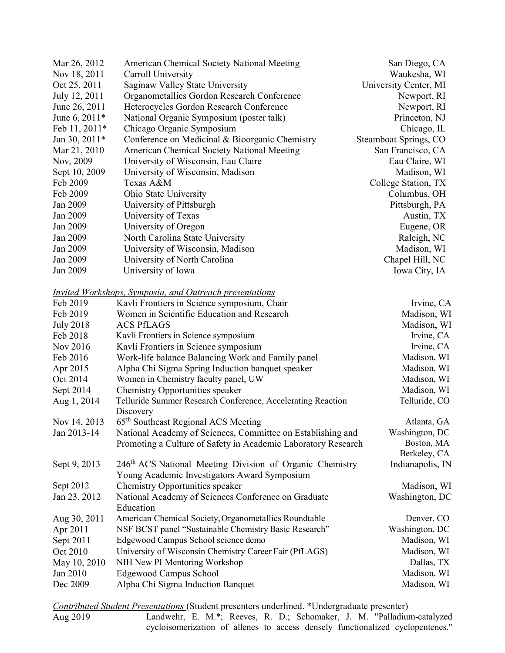| Mar 26, 2012  | American Chemical Society National Meeting     | San Diego, CA         |
|---------------|------------------------------------------------|-----------------------|
| Nov 18, 2011  | Carroll University                             | Waukesha, WI          |
| Oct 25, 2011  | Saginaw Valley State University                | University Center, MI |
| July 12, 2011 | Organometallics Gordon Research Conference     | Newport, RI           |
| June 26, 2011 | Heterocycles Gordon Research Conference        | Newport, RI           |
| June 6, 2011* | National Organic Symposium (poster talk)       | Princeton, NJ         |
| Feb 11, 2011* | Chicago Organic Symposium                      | Chicago, IL           |
| Jan 30, 2011* | Conference on Medicinal & Bioorganic Chemistry | Steamboat Springs, CO |
| Mar 21, 2010  | American Chemical Society National Meeting     | San Francisco, CA     |
| Nov, 2009     | University of Wisconsin, Eau Claire            | Eau Claire, WI        |
| Sept 10, 2009 | University of Wisconsin, Madison               | Madison, WI           |
| Feb 2009      | Texas A&M                                      | College Station, TX   |
| Feb 2009      | Ohio State University                          | Columbus, OH          |
| Jan 2009      | University of Pittsburgh                       | Pittsburgh, PA        |
| Jan 2009      | University of Texas                            | Austin, TX            |
| Jan 2009      | University of Oregon                           | Eugene, OR            |
| Jan 2009      | North Carolina State University                | Raleigh, NC           |
| Jan 2009      | University of Wisconsin, Madison               | Madison, WI           |
| Jan 2009      | University of North Carolina                   | Chapel Hill, NC       |
| Jan 2009      | University of Iowa                             | Iowa City, IA         |

#### Invited Workshops, Symposia, and Outreach presentations

| Feb 2019         | Kavli Frontiers in Science symposium, Chair                          | Irvine, CA       |
|------------------|----------------------------------------------------------------------|------------------|
| Feb 2019         | Women in Scientific Education and Research                           | Madison, WI      |
| <b>July 2018</b> | <b>ACS PfLAGS</b>                                                    | Madison, WI      |
| Feb 2018         | Kavli Frontiers in Science symposium                                 | Irvine, CA       |
| Nov 2016         | Kavli Frontiers in Science symposium                                 | Irvine, CA       |
| Feb 2016         | Work-life balance Balancing Work and Family panel                    | Madison, WI      |
| Apr 2015         | Alpha Chi Sigma Spring Induction banquet speaker                     | Madison, WI      |
| Oct 2014         | Women in Chemistry faculty panel, UW                                 | Madison, WI      |
| Sept 2014        | Chemistry Opportunities speaker                                      | Madison, WI      |
| Aug 1, 2014      | Telluride Summer Research Conference, Accelerating Reaction          | Telluride, CO    |
|                  | Discovery                                                            |                  |
| Nov 14, 2013     | 65 <sup>th</sup> Southeast Regional ACS Meeting                      | Atlanta, GA      |
| Jan 2013-14      | National Academy of Sciences, Committee on Establishing and          | Washington, DC   |
|                  | Promoting a Culture of Safety in Academic Laboratory Research        | Boston, MA       |
|                  |                                                                      | Berkeley, CA     |
| Sept 9, 2013     | 246 <sup>th</sup> ACS National Meeting Division of Organic Chemistry | Indianapolis, IN |
|                  | Young Academic Investigators Award Symposium                         |                  |
| Sept 2012        | Chemistry Opportunities speaker                                      | Madison, WI      |
| Jan 23, 2012     | National Academy of Sciences Conference on Graduate                  | Washington, DC   |
|                  | Education                                                            |                  |
| Aug 30, 2011     | American Chemical Society, Organometallics Roundtable                | Denver, CO       |
| Apr 2011         | NSF BCST panel "Sustainable Chemistry Basic Research"                | Washington, DC   |
| Sept 2011        | Edgewood Campus School science demo                                  | Madison, WI      |
| Oct 2010         | University of Wisconsin Chemistry Career Fair (PfLAGS)               | Madison, WI      |
| May 10, 2010     | NIH New PI Mentoring Workshop                                        | Dallas, TX       |
| Jan 2010         | Edgewood Campus School                                               | Madison, WI      |
| Dec 2009         | Alpha Chi Sigma Induction Banquet                                    | Madison, WI      |

Contributed Student Presentations (Student presenters underlined. \*Undergraduate presenter)<br>Aug 2019 Landwehr, E. M.\*: Reeves, R. D.; Schomaker, J. M. "Palladiur

Landwehr, E. M.\*; Reeves, R. D.; Schomaker, J. M. "Palladium-catalyzed cycloisomerization of allenes to access densely functionalized cyclopentenes."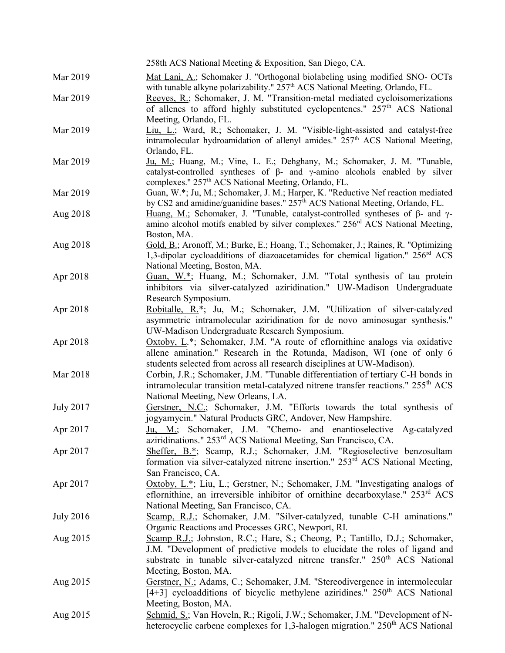|                  | 258th ACS National Meeting & Exposition, San Diego, CA.                                                                                                                                                                                                                        |
|------------------|--------------------------------------------------------------------------------------------------------------------------------------------------------------------------------------------------------------------------------------------------------------------------------|
| Mar 2019         | Mat Lani, A.; Schomaker J. "Orthogonal biolabeling using modified SNO- OCTs<br>with tunable alkyne polarizability." 257 <sup>th</sup> ACS National Meeting, Orlando, FL.                                                                                                       |
| Mar 2019         | Reeves, R.; Schomaker, J. M. "Transition-metal mediated cycloisomerizations<br>of allenes to afford highly substituted cyclopentenes." 257 <sup>th</sup> ACS National<br>Meeting, Orlando, FL.                                                                                 |
| Mar 2019         | Liu, L.; Ward, R.; Schomaker, J. M. "Visible-light-assisted and catalyst-free<br>intramolecular hydroamidation of allenyl amides." 257 <sup>th</sup> ACS National Meeting,<br>Orlando, FL.                                                                                     |
| Mar 2019         | Ju, M.; Huang, M.; Vine, L. E.; Dehghany, M.; Schomaker, J. M. "Tunable,<br>catalyst-controlled syntheses of $\beta$ - and $\gamma$ -amino alcohols enabled by silver<br>complexes." 257 <sup>th</sup> ACS National Meeting, Orlando, FL.                                      |
| Mar 2019         | Guan, W.*; Ju, M.; Schomaker, J. M.; Harper, K. "Reductive Nef reaction mediated<br>by CS2 and amidine/guanidine bases." 257 <sup>th</sup> ACS National Meeting, Orlando, FL.                                                                                                  |
| Aug 2018         | Huang, M.; Schomaker, J. "Tunable, catalyst-controlled syntheses of $\beta$ - and $\gamma$ -<br>amino alcohol motifs enabled by silver complexes." 256 <sup>rd</sup> ACS National Meeting,<br>Boston, MA.                                                                      |
| Aug 2018         | Gold, B.; Aronoff, M.; Burke, E.; Hoang, T.; Schomaker, J.; Raines, R. "Optimizing<br>1,3-dipolar cycloadditions of diazoacetamides for chemical ligation." 256 <sup>rd</sup> ACS<br>National Meeting, Boston, MA.                                                             |
| Apr 2018         | Guan, W.*; Huang, M.; Schomaker, J.M. "Total synthesis of tau protein<br>inhibitors via silver-catalyzed aziridination." UW-Madison Undergraduate<br>Research Symposium.                                                                                                       |
| Apr 2018         | Robitalle, R.*; Ju, M.; Schomaker, J.M. "Utilization of silver-catalyzed<br>asymmetric intramolecular aziridination for de novo aminosugar synthesis."<br>UW-Madison Undergraduate Research Symposium.                                                                         |
| Apr 2018         | $Oxtoby$ , $L^*$ ; Schomaker, J.M. "A route of eflornithine analogs via oxidative<br>allene amination." Research in the Rotunda, Madison, WI (one of only 6<br>students selected from across all research disciplines at UW-Madison).                                          |
| Mar 2018         | Corbin, J.R.; Schomaker, J.M. "Tunable differentiation of tertiary C-H bonds in<br>intramolecular transition metal-catalyzed nitrene transfer reactions." 255 <sup>th</sup> ACS<br>National Meeting, New Orleans, LA.                                                          |
| <b>July 2017</b> | Gerstner, N.C.; Schomaker, J.M. "Efforts towards the total synthesis of<br>jogyamycin." Natural Products GRC, Andover, New Hampshire.                                                                                                                                          |
| Apr 2017         | Ju, M.; Schomaker, J.M. "Chemo- and enantioselective Ag-catalyzed<br>aziridinations." 253 <sup>rd</sup> ACS National Meeting, San Francisco, CA.                                                                                                                               |
| Apr 2017         | Sheffer, B.*; Scamp, R.J.; Schomaker, J.M. "Regioselective benzosultam<br>formation via silver-catalyzed nitrene insertion." 253 <sup>rd</sup> ACS National Meeting,<br>San Francisco, CA.                                                                                     |
| Apr 2017         | Oxtoby, L.*; Liu, L.; Gerstner, N.; Schomaker, J.M. "Investigating analogs of<br>eflornithine, an irreversible inhibitor of ornithine decarboxylase." $253rd ACS$<br>National Meeting, San Francisco, CA.                                                                      |
| <b>July 2016</b> | Scamp, R.J.; Schomaker, J.M. "Silver-catalyzed, tunable C-H aminations."<br>Organic Reactions and Processes GRC, Newport, RI.                                                                                                                                                  |
| Aug 2015         | Scamp R.J.; Johnston, R.C.; Hare, S.; Cheong, P.; Tantillo, D.J.; Schomaker,<br>J.M. "Development of predictive models to elucidate the roles of ligand and<br>substrate in tunable silver-catalyzed nitrene transfer." 250 <sup>th</sup> ACS National<br>Meeting, Boston, MA. |
| Aug 2015         | Gerstner, N.; Adams, C.; Schomaker, J.M. "Stereodivergence in intermolecular<br>[4+3] cycloadditions of bicyclic methylene aziridines." $250th ACS$ National<br>Meeting, Boston, MA.                                                                                           |
| Aug 2015         | Schmid, S.; Van Hoveln, R.; Rigoli, J.W.; Schomaker, J.M. "Development of N-<br>heterocyclic carbene complexes for 1,3-halogen migration." 250 <sup>th</sup> ACS National                                                                                                      |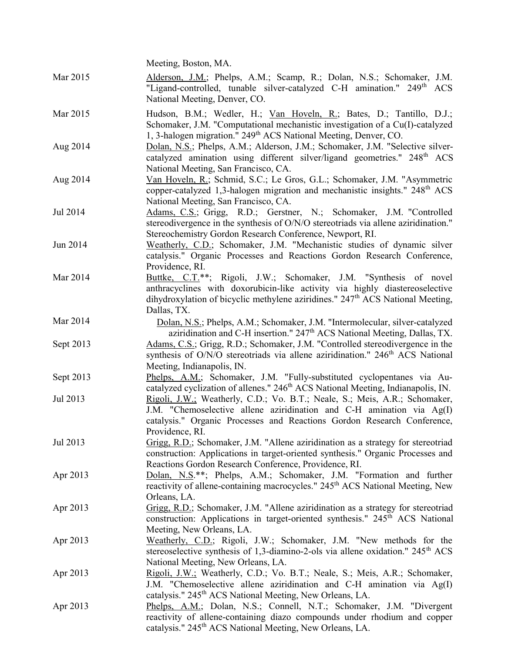|           | Meeting, Boston, MA.                                                                                                                                                                                                                                                                          |
|-----------|-----------------------------------------------------------------------------------------------------------------------------------------------------------------------------------------------------------------------------------------------------------------------------------------------|
| Mar 2015  | Alderson, J.M.; Phelps, A.M.; Scamp, R.; Dolan, N.S.; Schomaker, J.M.<br>"Ligand-controlled, tunable silver-catalyzed C-H amination." 249 <sup>th</sup> ACS<br>National Meeting, Denver, CO.                                                                                                  |
| Mar 2015  | Hudson, B.M.; Wedler, H.; Van Hoveln, R.; Bates, D.; Tantillo, D.J.;<br>Schomaker, J.M. "Computational mechanistic investigation of a Cu(I)-catalyzed                                                                                                                                         |
| Aug 2014  | 1, 3-halogen migration." 249 <sup>th</sup> ACS National Meeting, Denver, CO.<br>Dolan, N.S.; Phelps, A.M.; Alderson, J.M.; Schomaker, J.M. "Selective silver-<br>catalyzed amination using different silver/ligand geometries." 248 <sup>th</sup> ACS<br>National Meeting, San Francisco, CA. |
| Aug 2014  | Van Hoveln, R.; Schmid, S.C.; Le Gros, G.L.; Schomaker, J.M. "Asymmetric<br>copper-catalyzed 1,3-halogen migration and mechanistic insights." 248 <sup>th</sup> ACS<br>National Meeting, San Francisco, CA.                                                                                   |
| Jul 2014  | Adams, C.S.; Grigg, R.D.; Gerstner, N.; Schomaker, J.M. "Controlled<br>stereodivergence in the synthesis of O/N/O stereotriads via allene aziridination."<br>Stereochemistry Gordon Research Conference, Newport, RI.                                                                         |
| Jun 2014  | Weatherly, C.D.; Schomaker, J.M. "Mechanistic studies of dynamic silver<br>catalysis." Organic Processes and Reactions Gordon Research Conference,<br>Providence, RI.                                                                                                                         |
| Mar 2014  | Buttke, C.T. <sup>**</sup> ; Rigoli, J.W.; Schomaker, J.M. "Synthesis of novel<br>anthracyclines with doxorubicin-like activity via highly diastereoselective<br>dihydroxylation of bicyclic methylene aziridines." 247 <sup>th</sup> ACS National Meeting,<br>Dallas, TX.                    |
| Mar 2014  | Dolan, N.S.; Phelps, A.M.; Schomaker, J.M. "Intermolecular, silver-catalyzed<br>aziridination and C-H insertion." 247 <sup>th</sup> ACS National Meeting, Dallas, TX.                                                                                                                         |
| Sept 2013 | Adams, C.S.; Grigg, R.D.; Schomaker, J.M. "Controlled stereodivergence in the<br>synthesis of O/N/O stereotriads via allene aziridination." 246 <sup>th</sup> ACS National<br>Meeting, Indianapolis, IN.                                                                                      |
| Sept 2013 | Phelps, A.M.; Schomaker, J.M. "Fully-substituted cyclopentanes via Au-<br>catalyzed cyclization of allenes." 246 <sup>th</sup> ACS National Meeting, Indianapolis, IN.                                                                                                                        |
| Jul 2013  | Rigoli, J.W.; Weatherly, C.D.; Vo. B.T.; Neale, S.; Meis, A.R.; Schomaker,<br>J.M. "Chemoselective allene aziridination and C-H amination via Ag(I)<br>catalysis." Organic Processes and Reactions Gordon Research Conference,<br>Providence, RI.                                             |
| Jul 2013  | Grigg, R.D.; Schomaker, J.M. "Allene aziridination as a strategy for stereotriad<br>construction: Applications in target-oriented synthesis." Organic Processes and<br>Reactions Gordon Research Conference, Providence, RI.                                                                  |
| Apr 2013  | Dolan, N.S.**; Phelps, A.M.; Schomaker, J.M. "Formation and further<br>reactivity of allene-containing macrocycles." 245 <sup>th</sup> ACS National Meeting, New<br>Orleans, LA.                                                                                                              |
| Apr 2013  | Grigg, R.D.; Schomaker, J.M. "Allene aziridination as a strategy for stereotriad<br>construction: Applications in target-oriented synthesis." 245 <sup>th</sup> ACS National<br>Meeting, New Orleans, LA.                                                                                     |
| Apr 2013  | Weatherly, C.D.; Rigoli, J.W.; Schomaker, J.M. "New methods for the<br>stereoselective synthesis of 1,3-diamino-2-ols via allene oxidation." 245 <sup>th</sup> ACS<br>National Meeting, New Orleans, LA.                                                                                      |
| Apr 2013  | Rigoli, J.W.; Weatherly, C.D.; Vo. B.T.; Neale, S.; Meis, A.R.; Schomaker,<br>J.M. "Chemoselective allene aziridination and C-H amination via Ag(I)<br>catalysis." 245 <sup>th</sup> ACS National Meeting, New Orleans, LA.                                                                   |
| Apr 2013  | Phelps, A.M.; Dolan, N.S.; Connell, N.T.; Schomaker, J.M. "Divergent<br>reactivity of allene-containing diazo compounds under rhodium and copper<br>catalysis." 245 <sup>th</sup> ACS National Meeting, New Orleans, LA.                                                                      |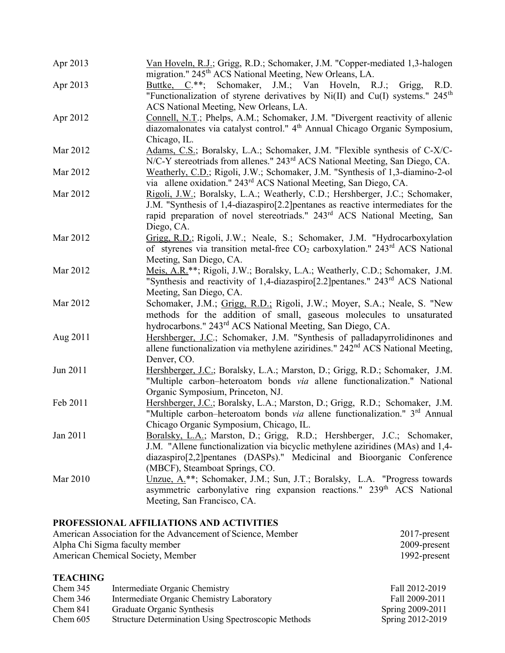| Apr 2013 | Van Hoveln, R.J.; Grigg, R.D.; Schomaker, J.M. "Copper-mediated 1,3-halogen<br>migration." 245 <sup>th</sup> ACS National Meeting, New Orleans, LA.                                                                                                                      |
|----------|--------------------------------------------------------------------------------------------------------------------------------------------------------------------------------------------------------------------------------------------------------------------------|
| Apr 2013 | Buttke, C.**;<br>Schomaker, J.M.; Van Hoveln, R.J.;<br>Grigg,<br>R.D.<br>"Functionalization of styrene derivatives by Ni(II) and Cu(I) systems." $245th$<br>ACS National Meeting, New Orleans, LA.                                                                       |
| Apr 2012 | Connell, N.T.; Phelps, A.M.; Schomaker, J.M. "Divergent reactivity of allenic<br>diazomalonates via catalyst control." 4 <sup>th</sup> Annual Chicago Organic Symposium,<br>Chicago, IL.                                                                                 |
| Mar 2012 | Adams, C.S.; Boralsky, L.A.; Schomaker, J.M. "Flexible synthesis of C-X/C-<br>N/C-Y stereotriads from allenes." 243 <sup>rd</sup> ACS National Meeting, San Diego, CA.                                                                                                   |
| Mar 2012 | Weatherly, C.D.; Rigoli, J.W.; Schomaker, J.M. "Synthesis of 1,3-diamino-2-ol<br>via allene oxidation." 243 <sup>rd</sup> ACS National Meeting, San Diego, CA.                                                                                                           |
| Mar 2012 | Rigoli, J.W.; Boralsky, L.A.; Weatherly, C.D.; Hershberger, J.C.; Schomaker,<br>J.M. "Synthesis of 1,4-diazaspiro[2.2] pentanes as reactive intermediates for the<br>rapid preparation of novel stereotriads." 243 <sup>rd</sup> ACS National Meeting, San<br>Diego, CA. |
| Mar 2012 | Grigg, R.D.; Rigoli, J.W.; Neale, S.; Schomaker, J.M. "Hydrocarboxylation<br>of styrenes via transition metal-free $CO_2$ carboxylation." 243 <sup>rd</sup> ACS National<br>Meeting, San Diego, CA.                                                                      |
| Mar 2012 | Meis, A.R.**; Rigoli, J.W.; Boralsky, L.A.; Weatherly, C.D.; Schomaker, J.M.<br>"Synthesis and reactivity of 1,4-diazaspiro[2.2]pentanes." 243 <sup>rd</sup> ACS National<br>Meeting, San Diego, CA.                                                                     |
| Mar 2012 | Schomaker, J.M.; Grigg, R.D.; Rigoli, J.W.; Moyer, S.A.; Neale, S. "New<br>methods for the addition of small, gaseous molecules to unsaturated<br>hydrocarbons." 243 <sup>rd</sup> ACS National Meeting, San Diego, CA.                                                  |
| Aug 2011 | Hershberger, J.C.; Schomaker, J.M. "Synthesis of palladapyrrolidinones and<br>allene functionalization via methylene aziridines." 242 <sup>nd</sup> ACS National Meeting,<br>Denver, CO.                                                                                 |
| Jun 2011 | Hershberger, J.C.; Boralsky, L.A.; Marston, D.; Grigg, R.D.; Schomaker, J.M.<br>"Multiple carbon-heteroatom bonds via allene functionalization." National<br>Organic Symposium, Princeton, NJ.                                                                           |
| Feb 2011 | Hershberger, J.C.; Boralsky, L.A.; Marston, D.; Grigg, R.D.; Schomaker, J.M.<br>"Multiple carbon-heteroatom bonds via allene functionalization." 3 <sup>rd</sup> Annual<br>Chicago Organic Symposium, Chicago, IL.                                                       |
| Jan 2011 | Boralsky, L.A.; Marston, D.; Grigg, R.D.; Hershberger, J.C.; Schomaker,<br>J.M. "Allene functionalization via bicyclic methylene aziridines (MAs) and 1,4-<br>diazaspiro[2,2] pentanes (DASPs)." Medicinal and Bioorganic Conference<br>(MBCF), Steamboat Springs, CO.   |
| Mar 2010 | Unzue, A.**; Schomaker, J.M.; Sun, J.T.; Boralsky, L.A. "Progress towards<br>asymmetric carbonylative ring expansion reactions." 239 <sup>th</sup> ACS National<br>Meeting, San Francisco, CA.                                                                           |

## PROFESSIONAL AFFILIATIONS AND ACTIVITIES

| American Association for the Advancement of Science, Member | $2017$ -present |
|-------------------------------------------------------------|-----------------|
| Alpha Chi Sigma faculty member                              | $2009$ -present |
| American Chemical Society, Member                           | 1992-present    |

# **TEACHING**

| Chem 345   | Intermediate Organic Chemistry                             | Fall 2012-2019   |
|------------|------------------------------------------------------------|------------------|
| Chem $346$ | Intermediate Organic Chemistry Laboratory                  | Fall 2009-2011   |
| Chem 841   | Graduate Organic Synthesis                                 | Spring 2009-2011 |
| Chem 605   | <b>Structure Determination Using Spectroscopic Methods</b> | Spring 2012-2019 |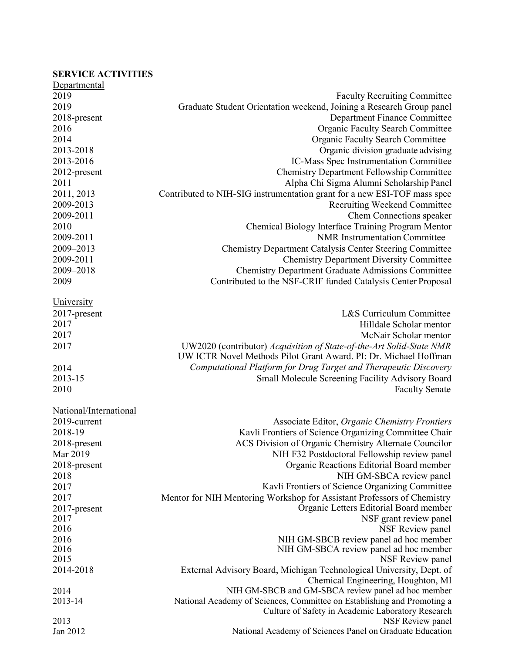# SERVICE ACTIVITIES

| Departmental           |                                                                          |
|------------------------|--------------------------------------------------------------------------|
| 2019                   | <b>Faculty Recruiting Committee</b>                                      |
| 2019                   | Graduate Student Orientation weekend, Joining a Research Group panel     |
| 2018-present           | Department Finance Committee                                             |
| 2016                   | <b>Organic Faculty Search Committee</b>                                  |
| 2014                   | <b>Organic Faculty Search Committee</b>                                  |
| 2013-2018              | Organic division graduate advising                                       |
| 2013-2016              | IC-Mass Spec Instrumentation Committee                                   |
| 2012-present           | <b>Chemistry Department Fellowship Committee</b>                         |
| 2011                   | Alpha Chi Sigma Alumni Scholarship Panel                                 |
| 2011, 2013             | Contributed to NIH-SIG instrumentation grant for a new ESI-TOF mass spec |
| 2009-2013              | Recruiting Weekend Committee                                             |
| 2009-2011              | Chem Connections speaker                                                 |
| 2010                   | Chemical Biology Interface Training Program Mentor                       |
| 2009-2011              | <b>NMR</b> Instrumentation Committee                                     |
| 2009-2013              | <b>Chemistry Department Catalysis Center Steering Committee</b>          |
| 2009-2011              | <b>Chemistry Department Diversity Committee</b>                          |
| 2009-2018              | <b>Chemistry Department Graduate Admissions Committee</b>                |
| 2009                   | Contributed to the NSF-CRIF funded Catalysis Center Proposal             |
|                        |                                                                          |
| <b>University</b>      |                                                                          |
| 2017-present           | L&S Curriculum Committee                                                 |
| 2017                   | Hilldale Scholar mentor                                                  |
| 2017                   | McNair Scholar mentor                                                    |
| 2017                   | UW2020 (contributor) Acquisition of State-of-the-Art Solid-State NMR     |
|                        | UW ICTR Novel Methods Pilot Grant Award. PI: Dr. Michael Hoffman         |
| 2014                   | Computational Platform for Drug Target and Therapeutic Discovery         |
| 2013-15                | Small Molecule Screening Facility Advisory Board                         |
| 2010                   | <b>Faculty Senate</b>                                                    |
|                        |                                                                          |
| National/International |                                                                          |
| 2019-current           | Associate Editor, Organic Chemistry Frontiers                            |
| 2018-19                | Kavli Frontiers of Science Organizing Committee Chair                    |
| 2018-present           | ACS Division of Organic Chemistry Alternate Councilor                    |
| Mar 2019               | NIH F32 Postdoctoral Fellowship review panel                             |
| 2018-present           | Organic Reactions Editorial Board member                                 |
| 2018                   | NIH GM-SBCA review panel                                                 |
| 2017                   | Kavli Frontiers of Science Organizing Committee                          |
| 2017                   | Mentor for NIH Mentoring Workshop for Assistant Professors of Chemistry  |
| 2017-present           | Organic Letters Editorial Board member                                   |
| 2017                   | NSF grant review panel                                                   |
| 2016                   | NSF Review panel                                                         |
| 2016                   | NIH GM-SBCB review panel ad hoc member                                   |
| 2016                   | NIH GM-SBCA review panel ad hoc member                                   |
| 2015                   | NSF Review panel                                                         |
| 2014-2018              | External Advisory Board, Michigan Technological University, Dept. of     |
|                        | Chemical Engineering, Houghton, MI                                       |
| 2014                   | NIH GM-SBCB and GM-SBCA review panel ad hoc member                       |
| 2013-14                | National Academy of Sciences, Committee on Establishing and Promoting a  |
|                        | Culture of Safety in Academic Laboratory Research                        |
| 2013                   | NSF Review panel                                                         |
| Jan 2012               | National Academy of Sciences Panel on Graduate Education                 |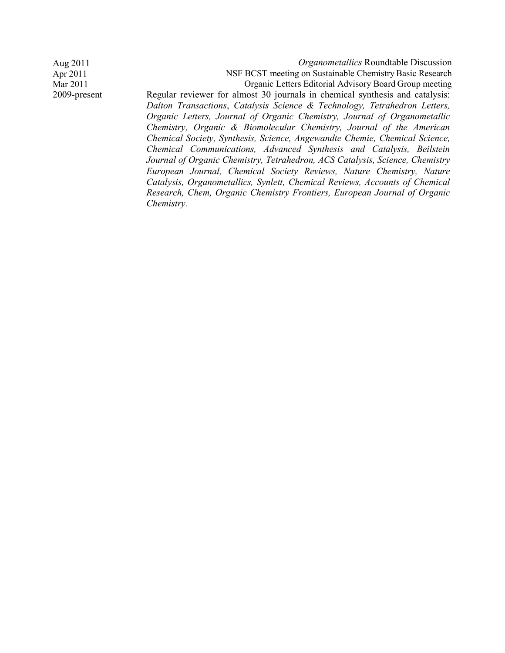Aug 2011 Contract Contract Contract Contract Contract Contract Contract Contract Contract Contract Contract Contract Contract Contract Contract Contract Contract Contract Contract Contract Contract Contract Contract Contra Apr 2011 NSF BCST meeting on Sustainable Chemistry Basic Research Mar 2011 Organic Letters Editorial Advisory Board Group meeting 2009-present Regular reviewer for almost 30 journals in chemical synthesis and catalysis: Dalton Transactions, Catalysis Science & Technology, Tetrahedron Letters, Organic Letters, Journal of Organic Chemistry, Journal of Organometallic Chemistry, Organic & Biomolecular Chemistry, Journal of the American Chemical Society, Synthesis, Science, Angewandte Chemie, Chemical Science,

Chemical Communications, Advanced Synthesis and Catalysis, Beilstein Journal of Organic Chemistry, Tetrahedron, ACS Catalysis, Science, Chemistry European Journal, Chemical Society Reviews, Nature Chemistry, Nature Catalysis, Organometallics, Synlett, Chemical Reviews, Accounts of Chemical Research, Chem, Organic Chemistry Frontiers, European Journal of Organic Chemistry.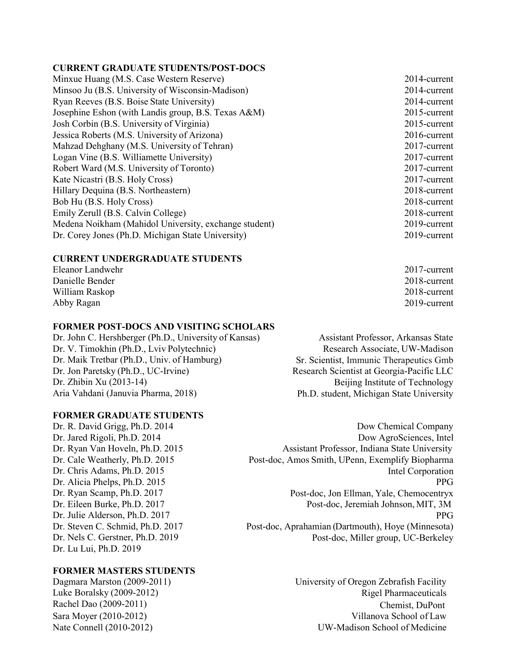#### CURRENT GRADUATE STUDENTS/POST-DOCS

| Minxue Huang (M.S. Case Western Reserve)              | 2014-current    |
|-------------------------------------------------------|-----------------|
| Minsoo Ju (B.S. University of Wisconsin-Madison)      | 2014-current    |
| Ryan Reeves (B.S. Boise State University)             | 2014-current    |
| Josephine Eshon (with Landis group, B.S. Texas A&M)   | $2015$ -current |
| Josh Corbin (B.S. University of Virginia)             | $2015$ -current |
| Jessica Roberts (M.S. University of Arizona)          | 2016-current    |
| Mahzad Dehghany (M.S. University of Tehran)           | 2017-current    |
| Logan Vine (B.S. Williamette University)              | 2017-current    |
| Robert Ward (M.S. University of Toronto)              | 2017-current    |
| Kate Nicastri (B.S. Holy Cross)                       | 2017-current    |
| Hillary Dequina (B.S. Northeastern)                   | 2018-current    |
| Bob Hu (B.S. Holy Cross)                              | 2018-current    |
| Emily Zerull (B.S. Calvin College)                    | 2018-current    |
| Medena Noikham (Mahidol University, exchange student) | 2019-current    |
| Dr. Corey Jones (Ph.D. Michigan State University)     | 2019-current    |
|                                                       |                 |

#### CURRENT UNDERGRADUATE STUDENTS

| Eleanor Landwehr | $2017$ -current |
|------------------|-----------------|
| Danielle Bender  | 2018-current    |
| William Raskop   | 2018-current    |
| Abby Ragan       | 2019-current    |

#### FORMER POST-DOCS AND VISITING SCHOLARS

Dr. John C. Hershberger (Ph.D., University of Kansas) Assistant Professor, Arkansas State Dr. V. Timokhin (Ph.D., Lviv Polytechnic) Research Associate, UW-Madison Dr. Maik Tretbar (Ph.D., Univ. of Hamburg) Sr. Scientist, Immunic Therapeutics Gmb Dr. Jon Paretsky (Ph.D., UC-Irvine) Research Scientist at Georgia-Pacific LLC Dr. Zhibin Xu (2013-14) Beijing Institute of Technology Aria Vahdani (Januvia Pharma, 2018) Ph.D. student, Michigan State University

#### FORMER GRADUATE STUDENTS

Dr. Nels C. Gerstner, Ph.D. 2019 Dr. Lu Lui, Ph.D. 2019

### FORMER MASTERS STUDENTS

Dr. R. David Grigg, Ph.D. 2014 Dow Chemical Company Dr. Jared Rigoli, Ph.D. 2014 Dow AgroSciences, Intel Dr. Ryan Van Hoveln, Ph.D. 2015 Assistant Professor, Indiana State University Dr. Cale Weatherly, Ph.D. 2015 Post-doc, Amos Smith, UPenn, Exemplify Biopharma Dr. Chris Adams, Ph.D. 2015 Intel Corporation Dr. Alicia Phelps, Ph.D. 2015 PPG Dr. Ryan Scamp, Ph.D. 2017 Post-doc, Jon Ellman, Yale, Chemocentryx Dr. Eileen Burke, Ph.D. 2017 Post-doc, Jeremiah Johnson, MIT, 3M Dr. Julie Alderson, Ph.D. 2017 PPG Dr. Steven C. Schmid, Ph.D. 2017 Post-doc, Aprahamian (Dartmouth), Hoye (Minnesota) Post-doc, Miller group, UC-Berkeley

Dagmara Marston (2009-2011) University of Oregon Zebrafish Facility Luke Boralsky (2009-2012) Rigel Pharmaceuticals Rachel Dao (2009-2011) Chemist, DuPont Sara Moyer (2010-2012) Villanova School of Law Nate Connell (2010-2012) UW-Madison School of Medicine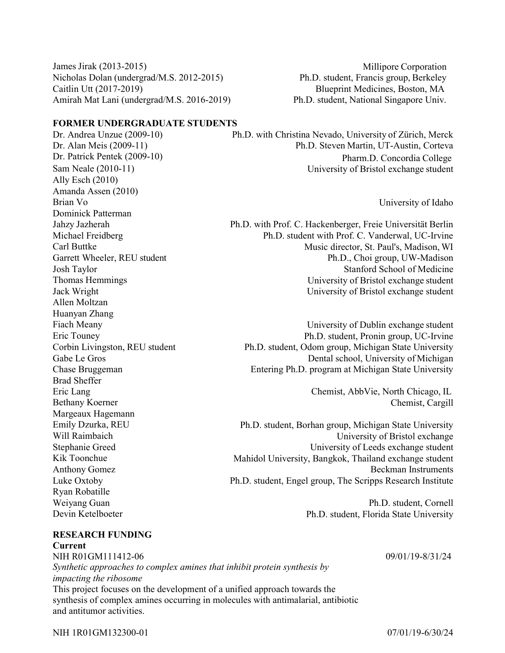James Jirak (2013-2015) Millipore Corporation Nicholas Dolan (undergrad/M.S. 2012-2015) Ph.D. student, Francis group, Berkeley Caitlin Utt (2017-2019) Blueprint Medicines, Boston, MA Amirah Mat Lani (undergrad/M.S. 2016-2019) Ph.D. student, National Singapore Univ.

### FORMER UNDERGRADUATE STUDENTS

Ally Esch (2010) Amanda Assen (2010) Brian Vo University of Idaho Dominick Patterman Allen Moltzan Huanyan Zhang Brad Sheffer Eric Lang Chemist, AbbVie, North Chicago, IL Margeaux Hagemann Ryan Robatille Weiyang Guan Ph.D. student, Cornell

Dr. Andrea Unzue (2009-10) Ph.D. with Christina Nevado, University of Zürich, Merck Dr. Alan Meis (2009-11) Ph.D. Steven Martin, UT-Austin, Corteva Dr. Patrick Pentek (2009-10) Pharm.D. Concordia College Sam Neale (2010-11) University of Bristol exchange student

Jahzy Jazherah Ph.D. with Prof. C. Hackenberger, Freie Universität Berlin Michael Freidberg Ph.D. student with Prof. C. Vanderwal, UC-Irvine Carl Buttke **Music director, St. Paul's, Madison, WI** Music director, St. Paul's, Madison, WI Garrett Wheeler, REU student Ph.D., Choi group, UW-Madison Josh Taylor Stanford School of Medicine Thomas Hemmings University of Bristol exchange student Jack Wright University of Bristol exchange student

Fiach Meany **Example 2** University of Dublin exchange student Eric Touney Ph.D. student, Pronin group, UC-Irvine Corbin Livingston, REU student Ph.D. student, Odom group, Michigan State University Gabe Le Gros Dental school, University of Michigan Chase Bruggeman Entering Ph.D. program at Michigan State University

Bethany Koerner Chemist, Cargill

Emily Dzurka, REU Ph.D. student, Borhan group, Michigan State University Will Raimbaich University of Bristol exchange Stephanie Greed University of Leeds exchange student Kik Toonchue Mahidol University, Bangkok, Thailand exchange student Anthony Gomez Beckman Instruments Luke Oxtoby Ph.D. student, Engel group, The Scripps Research Institute

Devin Ketelboeter Ph.D. student, Florida State University

# RESEARCH FUNDING

Current NIH R01GM111412-06 Synthetic approaches to complex amines that inhibit protein synthesis by impacting the ribosome This project focuses on the development of a unified approach towards the synthesis of complex amines occurring in molecules with antimalarial, antibiotic and antitumor activities.

09/01/19-8/31/24

NIH 1R01GM132300-01 07/01/19-6/30/24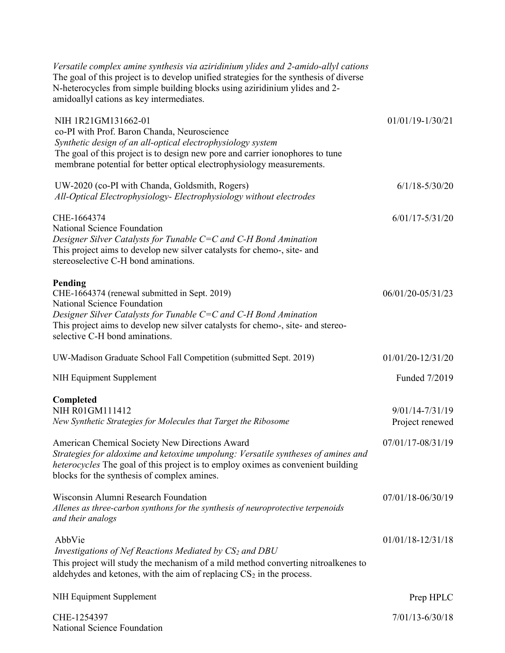| Versatile complex amine synthesis via aziridinium ylides and 2-amido-allyl cations<br>The goal of this project is to develop unified strategies for the synthesis of diverse<br>N-heterocycles from simple building blocks using aziridinium ylides and 2-<br>amidoallyl cations as key intermediates. |                                        |
|--------------------------------------------------------------------------------------------------------------------------------------------------------------------------------------------------------------------------------------------------------------------------------------------------------|----------------------------------------|
| NIH 1R21GM131662-01<br>co-PI with Prof. Baron Chanda, Neuroscience<br>Synthetic design of an all-optical electrophysiology system<br>The goal of this project is to design new pore and carrier ionophores to tune<br>membrane potential for better optical electrophysiology measurements.            | 01/01/19-1/30/21                       |
| UW-2020 (co-PI with Chanda, Goldsmith, Rogers)<br>All-Optical Electrophysiology- Electrophysiology without electrodes                                                                                                                                                                                  | $6/1/18 - 5/30/20$                     |
| CHE-1664374<br>National Science Foundation<br>Designer Silver Catalysts for Tunable C=C and C-H Bond Amination<br>This project aims to develop new silver catalysts for chemo-, site- and<br>stereoselective C-H bond aminations.                                                                      | $6/01/17 - 5/31/20$                    |
| Pending<br>CHE-1664374 (renewal submitted in Sept. 2019)<br>National Science Foundation<br>Designer Silver Catalysts for Tunable C=C and C-H Bond Amination<br>This project aims to develop new silver catalysts for chemo-, site- and stereo-<br>selective C-H bond aminations.                       | 06/01/20-05/31/23                      |
| UW-Madison Graduate School Fall Competition (submitted Sept. 2019)                                                                                                                                                                                                                                     | 01/01/20-12/31/20                      |
| NIH Equipment Supplement                                                                                                                                                                                                                                                                               | Funded 7/2019                          |
| Completed<br>NIH R01GM111412<br>New Synthetic Strategies for Molecules that Target the Ribosome                                                                                                                                                                                                        | $9/01/14 - 7/31/19$<br>Project renewed |
| American Chemical Society New Directions Award<br>Strategies for aldoxime and ketoxime umpolung: Versatile syntheses of amines and<br>heterocycles The goal of this project is to employ oximes as convenient building<br>blocks for the synthesis of complex amines.                                  | 07/01/17-08/31/19                      |
| Wisconsin Alumni Research Foundation<br>Allenes as three-carbon synthons for the synthesis of neuroprotective terpenoids<br>and their analogs                                                                                                                                                          | 07/01/18-06/30/19                      |
| AbbVie<br>Investigations of Nef Reactions Mediated by CS <sub>2</sub> and DBU<br>This project will study the mechanism of a mild method converting nitroalkenes to<br>aldehydes and ketones, with the aim of replacing $CS2$ in the process.                                                           | $01/01/18 - 12/31/18$                  |
| NIH Equipment Supplement                                                                                                                                                                                                                                                                               | Prep HPLC                              |
| CHE-1254397<br>National Science Foundation                                                                                                                                                                                                                                                             | $7/01/13 - 6/30/18$                    |